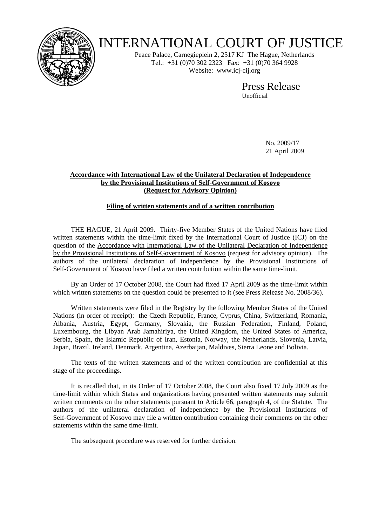

## INTERNATIONAL COURT OF JUSTICE

Peace Palace, Carnegieplein 2, 2517 KJ The Hague, Netherlands Tel.: +31 (0)70 302 2323 Fax: +31 (0)70 364 9928 Website: www.icj-cij.org

> Press Release Unofficial

> > No. 2009/17 21 April 2009

## **Accordance with International Law of the Unilateral Declaration of Independence by the Provisional Institutions of Self-Government of Kosovo (Request for Advisory Opinion)**

## **Filing of written statements and of a written contribution**

 THE HAGUE, 21 April 2009. Thirty-five Member States of the United Nations have filed written statements within the time-limit fixed by the International Court of Justice (ICJ) on the question of the Accordance with International Law of the Unilateral Declaration of Independence by the Provisional Institutions of Self-Government of Kosovo (request for advisory opinion). The authors of the unilateral declaration of independence by the Provisional Institutions of Self-Government of Kosovo have filed a written contribution within the same time-limit.

 By an Order of 17 October 2008, the Court had fixed 17 April 2009 as the time-limit within which written statements on the question could be presented to it (see Press Release No. 2008/36).

 Written statements were filed in the Registry by the following Member States of the United Nations (in order of receipt): the Czech Republic, France, Cyprus, China, Switzerland, Romania, Albania, Austria, Egypt, Germany, Slovakia, the Russian Federation, Finland, Poland, Luxembourg, the Libyan Arab Jamahiriya, the United Kingdom, the United States of America, Serbia, Spain, the Islamic Republic of Iran, Estonia, Norway, the Netherlands, Slovenia, Latvia, Japan, Brazil, Ireland, Denmark, Argentina, Azerbaijan, Maldives, Sierra Leone and Bolivia.

 The texts of the written statements and of the written contribution are confidential at this stage of the proceedings.

 It is recalled that, in its Order of 17 October 2008, the Court also fixed 17 July 2009 as the time-limit within which States and organizations having presented written statements may submit written comments on the other statements pursuant to Article 66, paragraph 4, of the Statute. The authors of the unilateral declaration of independence by the Provisional Institutions of Self-Government of Kosovo may file a written contribution containing their comments on the other statements within the same time-limit.

The subsequent procedure was reserved for further decision.